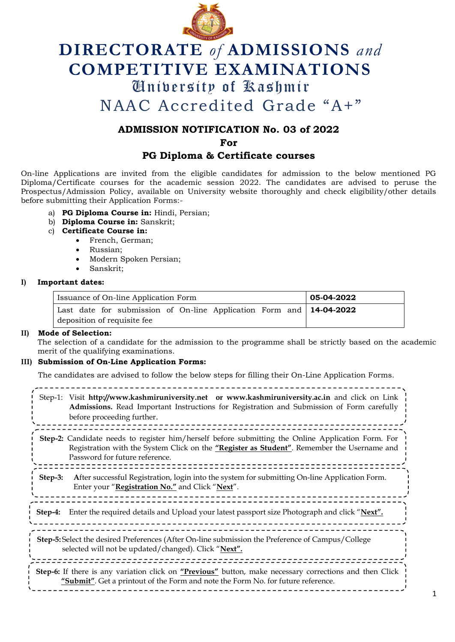

# **DIRECTORATE** *of* **ADMISSIONS** *and* **COMPETITIVE EXAMINATIONS** University of Kashmir NAAC Accredited Grade "A+"

# **ADMISSION NOTIFICATION No. 03 of 2022**

**For** 

## **PG Diploma & Certificate courses**

On-line Applications are invited from the eligible candidates for admission to the below mentioned PG Diploma/Certificate courses for the academic session 2022. The candidates are advised to peruse the Prospectus/Admission Policy, available on University website thoroughly and check eligibility/other details before submitting their Application Forms:-

- a) **PG Diploma Course in:** Hindi, Persian;
- b) **Diploma Course in:** Sanskrit;
- c) **Certificate Course in:**
	- French, German;
	- Russian;
	- Modern Spoken Persian;
	- Sanskrit;

#### **I) Important dates:**

| Issuance of On-line Application Form                                                                       | 05-04-2022 |
|------------------------------------------------------------------------------------------------------------|------------|
| Last date for submission of On-line Application Form and $\vert$ 14-04-2022<br>deposition of requisite fee |            |
|                                                                                                            |            |

#### **II) Mode of Selection:**

The selection of a candidate for the admission to the programme shall be strictly based on the academic merit of the qualifying examinations.

#### **III) Submission of On-Line Application Forms:**

The candidates are advised to follow the below steps for filling their On-Line Application Forms.

|                                                                                                                                                           | Step-1: Visit http://www.kashmiruniversity.net or www.kashmiruniversity.ac.in and click on Link<br>Admissions. Read Important Instructions for Registration and Submission of Form carefully<br>before proceeding further.         |
|-----------------------------------------------------------------------------------------------------------------------------------------------------------|------------------------------------------------------------------------------------------------------------------------------------------------------------------------------------------------------------------------------------|
|                                                                                                                                                           | Step-2: Candidate needs to register him/herself before submitting the Online Application Form. For<br>Registration with the System Click on the "Register as Student". Remember the Username and<br>Password for future reference. |
| Step-3:                                                                                                                                                   | After successful Registration, login into the system for submitting On-line Application Form.<br>Enter your "Registration No." and Click "Next".                                                                                   |
| Step-4:                                                                                                                                                   | Enter the required details and Upload your latest passport size Photograph and click "Next".                                                                                                                                       |
| Step-5: Select the desired Preferences (After On-line submission the Preference of Campus/College<br>selected will not be updated/changed). Click "Next". |                                                                                                                                                                                                                                    |
|                                                                                                                                                           | Step-6: If there is any variation click on "Previous" button, make necessary corrections and then Click<br>"Submit". Get a printout of the Form and note the Form No. for future reference.                                        |